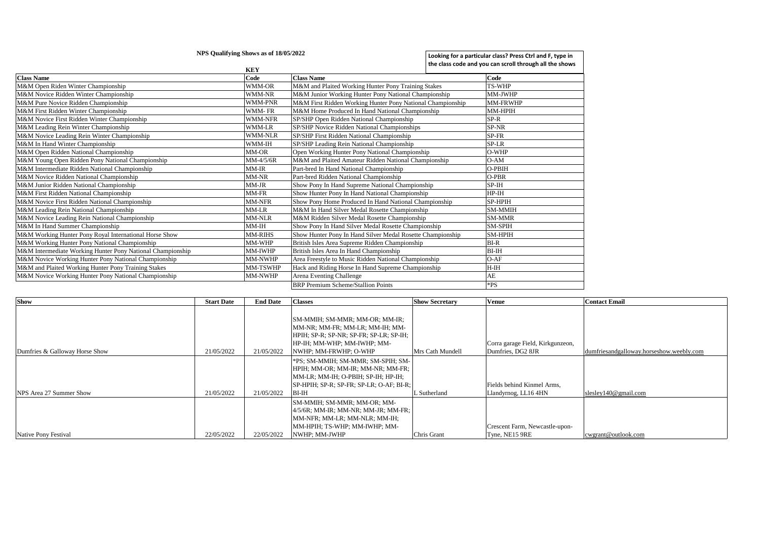|                                                            | NPS Qualifying Shows as of 18/05/2022 |                                                            | Looking for a particular class? Press Ctrl and F, type in<br>the class code and you can scroll through all the shows |
|------------------------------------------------------------|---------------------------------------|------------------------------------------------------------|----------------------------------------------------------------------------------------------------------------------|
|                                                            | <b>KEY</b>                            |                                                            |                                                                                                                      |
| <b>Class Name</b>                                          | Code                                  | <b>Class Name</b>                                          | Code                                                                                                                 |
| M&M Open Riden Winter Championship                         | WMM-OR                                | M&M and Plaited Working Hunter Pony Training Stakes        | <b>TS-WHP</b>                                                                                                        |
| M&M Novice Ridden Winter Championship                      | WMM-NR                                | M&M Junior Working Hunter Pony National Championship       | MM-JWHP                                                                                                              |
| M&M Pure Novice Ridden Championship                        | <b>WMM-PNR</b>                        | M&M First Ridden Working Hunter Pony National Championship | <b>MM-FRWHP</b>                                                                                                      |
| M&M First Ridden Winter Championship                       | WMM-FR                                | M&M Home Produced In Hand National Championship            | MM-HPIH                                                                                                              |
| M&M Novice First Ridden Winter Championship                | <b>WMM-NFR</b>                        | SP/SHP Open Ridden National Championship                   | $SP-R$                                                                                                               |
| M&M Leading Rein Winter Championship                       | <b>WMM-LR</b>                         | SP/SHP Novice Ridden National Championships                | SP-NR                                                                                                                |
| M&M Novice Leading Rein Winter Championship                | <b>WMM-NLR</b>                        | SP/SHP First Ridden National Championship                  | SP-FR                                                                                                                |
| M&M In Hand Winter Championship                            | WMM-IH                                | SP/SHP Leading Rein National Championship                  | SP-LR                                                                                                                |
| M&M Open Ridden National Championship                      | MM-OR                                 | Open Working Hunter Pony National Championship             | O-WHP                                                                                                                |
| M&M Young Open Ridden Pony National Championship           | $MM-4/5/6R$                           | M&M and Plaited Amateur Ridden National Championship       | $O-AM$                                                                                                               |
| M&M Intermediate Ridden National Championship              | $MM$ -IR                              | Part-bred In Hand National Championship                    | O-PBIH                                                                                                               |
| M&M Novice Ridden National Championship                    | MM-NR                                 | Part-bred Ridden National Championship                     | O-PBR                                                                                                                |
| M&M Junior Ridden National Championship                    | MM-JR                                 | Show Pony In Hand Supreme National Championship            | $SP-IH$                                                                                                              |
| M&M First Ridden National Championship                     | MM-FR                                 | Show Hunter Pony In Hand National Championship             | $HP-IH$                                                                                                              |
| M&M Novice First Ridden National Championship              | MM-NFR                                | Show Pony Home Produced In Hand National Championship      | SP-HPIH                                                                                                              |
| M&M Leading Rein National Championship                     | MM-LR                                 | M&M In Hand Silver Medal Rosette Championship              | <b>SM-MMIH</b>                                                                                                       |
| M&M Novice Leading Rein National Championship              | <b>MM-NLR</b>                         | M&M Ridden Silver Medal Rosette Championship               | <b>SM-MMR</b>                                                                                                        |
| M&M In Hand Summer Championship                            | $MM-IH$                               | Show Pony In Hand Silver Medal Rosette Championship        | <b>SM-SPIH</b>                                                                                                       |
| M&M Working Hunter Pony Royal International Horse Show     | <b>MM-RIHS</b>                        | Show Hunter Pony In Hand Silver Medal Rosette Championship | <b>SM-HPIH</b>                                                                                                       |
| M&M Working Hunter Pony National Championship              | MM-WHP                                | British Isles Area Supreme Ridden Championship             | $BI-R$                                                                                                               |
| M&M Intermediate Working Hunter Pony National Championship | MM-IWHP                               | British Isles Area In Hand Championship                    | $BI$ - $IH$                                                                                                          |
| M&M Novice Working Hunter Pony National Championship       | <b>MM-NWHP</b>                        | Area Freestyle to Music Ridden National Championship       | $O-AF$                                                                                                               |
| M&M and Plaited Working Hunter Pony Training Stakes        | MM-TSWHP                              | Hack and Riding Horse In Hand Supreme Championship         | $H-H$                                                                                                                |
| M&M Novice Working Hunter Pony National Championship       | <b>MM-NWHP</b>                        | Arena Eventing Challenge                                   | AE                                                                                                                   |
|                                                            |                                       | <b>BRP</b> Premium Scheme/Stallion Points                  | *PS                                                                                                                  |

| <b>Show</b>                    | <b>Start Date</b> | <b>End Date</b> | <b>Classes</b>                                                                                                                                                       | <b>Show Secretary</b> | <b>Venue</b>                                          | <b>Contact Email</b>                     |
|--------------------------------|-------------------|-----------------|----------------------------------------------------------------------------------------------------------------------------------------------------------------------|-----------------------|-------------------------------------------------------|------------------------------------------|
| Dumfries & Galloway Horse Show | 21/05/2022        | 21/05/2022      | SM-MMIH; SM-MMR; MM-OR; MM-IR;<br>MM-NR; MM-FR; MM-LR; MM-IH; MM-<br>HPIH: SP-R: SP-NR: SP-FR: SP-LR: SP-IH:<br>HP-IH: MM-WHP: MM-IWHP: MM-<br>NWHP; MM-FRWHP; O-WHP | Mrs Cath Mundell      | Corra garage Field, Kirkgunzeon,<br>Dumfries, DG2 8JR | dumfriesandgalloway.horseshow.weebly.com |
|                                |                   |                 | *PS; SM-MMIH; SM-MMR; SM-SPIH; SM-<br>HPIH: MM-OR: MM-IR: MM-NR: MM-FR:                                                                                              |                       |                                                       |                                          |
| NPS Area 27 Summer Show        | 21/05/2022        | 21/05/2022      | MM-LR; MM-IH; O-PBIH; SP-IH; HP-IH;<br>SP-HPIH: SP-R: SP-FR: SP-LR: O-AF: BI-R:  <br><b>BI-IH</b>                                                                    | Sutherland            | Fields behind Kinmel Arms.<br>Llandyrnog, LL16 4HN    | slesley140@gmail.com                     |
| Native Pony Festival           | 22/05/2022        | 22/05/2022      | SM-MMIH; SM-MMR; MM-OR; MM-<br>4/5/6R: MM-IR: MM-NR: MM-JR: MM-FR:<br>MM-NFR; MM-LR; MM-NLR; MM-IH;<br>MM-HPIH; TS-WHP; MM-IWHP; MM-<br>NWHP: MM-JWHP                | Chris Grant           | Crescent Farm, Newcastle-upon-<br>Tyne, NE15 9RE      | cwgrant@outlook.com                      |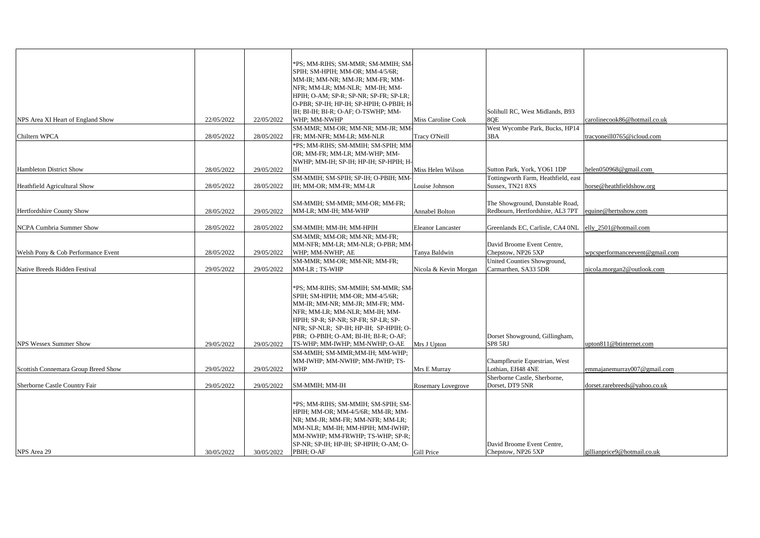| NPS Area XI Heart of England Show   | 22/05/2022 | 22/05/2022 | *PS; MM-RIHS; SM-MMR; SM-MMIH; SM-<br>SPIH; SM-HPIH; MM-OR; MM-4/5/6R;<br>MM-IR; MM-NR; MM-JR; MM-FR; MM-<br>NFR; MM-LR; MM-NLR; MM-IH; MM-<br>HPIH; O-AM; SP-R; SP-NR; SP-FR; SP-LR;<br>O-PBR; SP-IH; HP-IH; SP-HPIH; O-PBIH; H-<br>IH; BI-IH; BI-R; O-AF; O-TSWHP; MM-<br>WHP; MM-NWHP                 | Miss Caroline Cook    | Solihull RC, West Midlands, B93<br>8OE                                          | carolinecook86@hotmail.co.uk   |
|-------------------------------------|------------|------------|----------------------------------------------------------------------------------------------------------------------------------------------------------------------------------------------------------------------------------------------------------------------------------------------------------|-----------------------|---------------------------------------------------------------------------------|--------------------------------|
|                                     |            |            | SM-MMR; MM-OR; MM-NR; MM-JR; MM-                                                                                                                                                                                                                                                                         |                       | West Wycombe Park, Bucks, HP14                                                  |                                |
| Chiltern WPCA                       | 28/05/2022 | 28/05/2022 | FR; MM-NFR; MM-LR; MM-NLR                                                                                                                                                                                                                                                                                | Tracy O'Neill         | 3BA                                                                             | tracyoneill0765@icloud.com     |
|                                     |            |            | *PS; MM-RIHS; SM-MMIH; SM-SPIH; MM-<br>OR; MM-FR; MM-LR; MM-WHP; MM-<br>NWHP; MM-IH; SP-IH; HP-IH; SP-HPIH; H-                                                                                                                                                                                           |                       |                                                                                 |                                |
| <b>Hambleton District Show</b>      | 28/05/2022 | 29/05/2022 | IH                                                                                                                                                                                                                                                                                                       | Miss Helen Wilson     | Sutton Park, York, YO61 1DP                                                     | helen050968@gmail.com          |
|                                     |            |            | SM-MMIH; SM-SPIH; SP-IH; O-PBIH; MM                                                                                                                                                                                                                                                                      |                       | Tottingworth Farm, Heathfield, east                                             |                                |
| <b>Heathfield Agricultural Show</b> | 28/05/2022 | 28/05/2022 | IH; MM-OR; MM-FR; MM-LR                                                                                                                                                                                                                                                                                  | Louise Johnson        | Sussex, TN21 8XS                                                                | horse@heathfieldshow.org       |
| Hertfordshire County Show           | 28/05/2022 | 29/05/2022 | SM-MMIH; SM-MMR; MM-OR; MM-FR;<br>MM-LR; MM-IH; MM-WHP                                                                                                                                                                                                                                                   | <b>Annabel Bolton</b> | The Showground, Dunstable Road,<br>Redbourn, Hertfordshire, AL3 7PT             | equine@hertsshow.com           |
|                                     |            |            |                                                                                                                                                                                                                                                                                                          |                       |                                                                                 |                                |
| NCPA Cumbria Summer Show            | 28/05/2022 | 28/05/2022 | SM-MMIH; MM-IH; MM-HPIH                                                                                                                                                                                                                                                                                  | Eleanor Lancaster     | Greenlands EC, Carlisle, CA4 0NL                                                | elly_2501@hotmail.com          |
| Welsh Pony & Cob Performance Event  | 28/05/2022 | 29/05/2022 | SM-MMR; MM-OR; MM-NR; MM-FR;<br>MM-NFR; MM-LR; MM-NLR; O-PBR; MM-<br>WHP; MM-NWHP; AE<br>SM-MMR; MM-OR; MM-NR; MM-FR;                                                                                                                                                                                    | Tanya Baldwin         | David Broome Event Centre,<br>Chepstow, NP26 5XP<br>United Counties Showground, | wpcsperformanceevent@gmail.com |
| Native Breeds Ridden Festival       | 29/05/2022 | 29/05/2022 | MM-LR ; TS-WHP                                                                                                                                                                                                                                                                                           | Nicola & Kevin Morgan | Carmarthen, SA33 5DR                                                            | nicola.morgan2@outlook.com     |
| <b>NPS Wessex Summer Show</b>       | 29/05/2022 | 29/05/2022 | *PS; MM-RIHS; SM-MMIH; SM-MMR; SM-<br>SPIH; SM-HPIH; MM-OR; MM-4/5/6R;<br>MM-IR; MM-NR; MM-JR; MM-FR; MM-<br>NFR; MM-LR; MM-NLR; MM-IH; MM-<br>HPIH; SP-R; SP-NR; SP-FR; SP-LR; SP-<br>NFR; SP-NLR; SP-IH; HP-IH; SP-HPIH; O-<br>PBR; O-PBIH; O-AM; BI-IH; BI-R; O-AF;<br>TS-WHP; MM-IWHP; MM-NWHP; O-AE | Mrs J Upton           | Dorset Showground, Gillingham,<br>SP8 5RJ                                       | upton811@btinternet.com        |
| Scottish Connemara Group Breed Show | 29/05/2022 | 29/05/2022 | SM-MMIH; SM-MMR;MM-IH; MM-WHP;<br>MM-IWHP; MM-NWHP; MM-JWHP; TS-<br><b>WHP</b>                                                                                                                                                                                                                           | Mrs E Murray          | Champfleurie Equestrian, West<br>Lothian, EH48 4NE                              | emmajanemurray007@gmail.com    |
|                                     |            |            |                                                                                                                                                                                                                                                                                                          |                       | Sherborne Castle, Sherborne,                                                    |                                |
| Sherborne Castle Country Fair       | 29/05/2022 | 29/05/2022 | <b>SM-MMIH; MM-IH</b>                                                                                                                                                                                                                                                                                    | Rosemary Lovegrove    | Dorset, DT9 5NR                                                                 | dorset.rarebreeds@yahoo.co.uk  |
| NPS Area 29                         | 30/05/2022 | 30/05/2022 | *PS; MM-RIHS; SM-MMIH; SM-SPIH; SM-<br>HPIH; MM-OR; MM-4/5/6R; MM-IR; MM-<br>NR; MM-JR; MM-FR; MM-NFR; MM-LR;<br>MM-NLR; MM-IH; MM-HPIH; MM-IWHP;<br>MM-NWHP; MM-FRWHP; TS-WHP; SP-R;<br>SP-NR; SP-IH; HP-IH; SP-HPIH; O-AM; O-<br>PBIH; O-AF                                                            | Gill Price            | David Broome Event Centre,<br>Chepstow, NP26 5XP                                | gillianprice9@hotmail.co.uk    |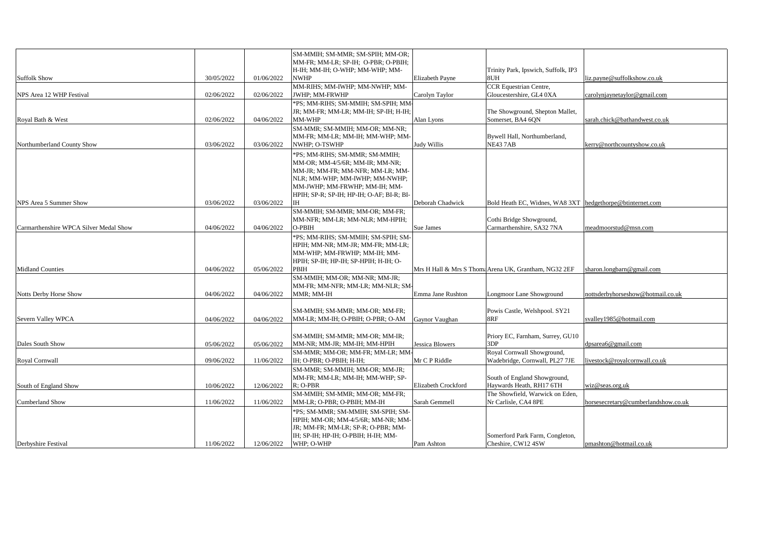|                                        |            |            | SM-MMIH; SM-MMR; SM-SPIH; MM-OR;<br>MM-FR; MM-LR; SP-IH; O-PBR; O-PBIH;      |                        |                                                            |                                     |
|----------------------------------------|------------|------------|------------------------------------------------------------------------------|------------------------|------------------------------------------------------------|-------------------------------------|
|                                        |            |            | H-IH; MM-IH; O-WHP; MM-WHP; MM-                                              |                        | Trinity Park, Ipswich, Suffolk, IP3                        |                                     |
| <b>Suffolk Show</b>                    | 30/05/2022 | 01/06/2022 | <b>NWHP</b>                                                                  | Elizabeth Payne        | 8UH                                                        | liz.payne@suffolkshow.co.uk         |
|                                        |            |            | MM-RIHS; MM-IWHP; MM-NWHP; MM-                                               |                        | <b>CCR</b> Equestrian Centre,                              |                                     |
| NPS Area 12 WHP Festival               | 02/06/2022 | 02/06/2022 | JWHP; MM-FRWHP                                                               | Carolyn Taylor         | Gloucestershire, GL4 0XA                                   | carolynjaynetaylor@gmail.com        |
|                                        |            |            | *PS; MM-RIHS; SM-MMIH; SM-SPIH; MM-<br>JR; MM-FR; MM-LR; MM-IH; SP-IH; H-IH; |                        | The Showground, Shepton Mallet,                            |                                     |
| Royal Bath & West                      | 02/06/2022 | 04/06/2022 | MM-WHP                                                                       | Alan Lyons             | Somerset, BA4 6QN                                          | sarah.chick@bathandwest.co.uk       |
|                                        |            |            | SM-MMR; SM-MMIH; MM-OR; MM-NR;                                               |                        |                                                            |                                     |
|                                        |            |            | MM-FR; MM-LR; MM-IH; MM-WHP; MM-                                             |                        | Bywell Hall, Northumberland,                               |                                     |
| Northumberland County Show             | 03/06/2022 | 03/06/2022 | NWHP; O-TSWHP                                                                | <b>Judy Willis</b>     | NE43 7AB                                                   | kerry@northcountyshow.co.uk         |
|                                        |            |            | *PS; MM-RIHS; SM-MMR; SM-MMIH;                                               |                        |                                                            |                                     |
|                                        |            |            | MM-OR; MM-4/5/6R; MM-IR; MM-NR;                                              |                        |                                                            |                                     |
|                                        |            |            | MM-JR; MM-FR; MM-NFR; MM-LR; MM-                                             |                        |                                                            |                                     |
|                                        |            |            | NLR; MM-WHP; MM-IWHP; MM-NWHP;<br>MM-JWHP; MM-FRWHP; MM-IH; MM-              |                        |                                                            |                                     |
|                                        |            |            | HPIH; SP-R; SP-IH; HP-IH; O-AF; BI-R; BI-                                    |                        |                                                            |                                     |
| NPS Area 5 Summer Show                 | 03/06/2022 | 03/06/2022 | IH                                                                           | Deborah Chadwick       | Bold Heath EC, Widnes, WA8 3XT  hedgethorpe@btinternet.com |                                     |
|                                        |            |            | SM-MMIH; SM-MMR; MM-OR; MM-FR;                                               |                        |                                                            |                                     |
|                                        |            |            | MM-NFR; MM-LR; MM-NLR; MM-HPIH;                                              |                        | Cothi Bridge Showground,                                   |                                     |
| Carmarthenshire WPCA Silver Medal Show | 04/06/2022 | 04/06/2022 | O-PBIH                                                                       | Sue James              | Carmarthenshire, SA32 7NA                                  | meadmoorstud@msn.com                |
|                                        |            |            | *PS; MM-RIHS; SM-MMIH; SM-SPIH; SM-                                          |                        |                                                            |                                     |
|                                        |            |            | HPIH; MM-NR; MM-JR; MM-FR; MM-LR;                                            |                        |                                                            |                                     |
|                                        |            |            | MM-WHP; MM-FRWHP; MM-IH; MM-<br>HPIH; SP-IH; HP-IH; SP-HPIH; H-IH; O-        |                        |                                                            |                                     |
| <b>Midland Counties</b>                | 04/06/2022 | 05/06/2022 | PBIH                                                                         |                        | Mrs H Hall & Mrs S Thoma Arena UK, Grantham, NG32 2EF      | sharon.longbarn@gmail.com           |
|                                        |            |            | SM-MMIH; MM-OR; MM-NR; MM-JR;                                                |                        |                                                            |                                     |
|                                        |            |            | MM-FR; MM-NFR; MM-LR; MM-NLR; SM-                                            |                        |                                                            |                                     |
| <b>Notts Derby Horse Show</b>          | 04/06/2022 | 04/06/2022 | MMR; MM-IH                                                                   | Emma Jane Rushton      | Longmoor Lane Showground                                   | nottsderbyhorseshow@hotmail.co.uk   |
|                                        |            |            |                                                                              |                        |                                                            |                                     |
|                                        |            |            | SM-MMIH; SM-MMR; MM-OR; MM-FR;                                               |                        | Powis Castle, Welshpool. SY21                              |                                     |
| Severn Valley WPCA                     | 04/06/2022 | 04/06/2022 | MM-LR; MM-IH; O-PBIH; O-PBR; O-AM                                            | Gaynor Vaughan         | 8RF                                                        | svalley1985@hotmail.com             |
|                                        |            |            | SM-MMIH; SM-MMR; MM-OR; MM-IR;                                               |                        | Priory EC, Farnham, Surrey, GU10                           |                                     |
| Dales South Show                       | 05/06/2022 | 05/06/2022 | MM-NR; MM-JR; MM-IH; MM-HPIH                                                 | <b>Jessica Blowers</b> | 3DP                                                        | dpsarea6@gmail.com                  |
|                                        |            |            | SM-MMR; MM-OR; MM-FR; MM-LR; MM-                                             |                        | Royal Cornwall Showground,                                 |                                     |
| Royal Cornwall                         | 09/06/2022 | 11/06/2022 | IH; O-PBR; O-PBIH; H-IH;                                                     | Mr C P Riddle          | Wadebridge, Cornwall, PL27 7JE                             | livestock@royalcornwall.co.uk       |
|                                        |            |            | SM-MMR; SM-MMIH; MM-OR; MM-JR;                                               |                        |                                                            |                                     |
|                                        |            |            | MM-FR; MM-LR; MM-IH; MM-WHP; SP-                                             |                        | South of England Showground,                               |                                     |
| South of England Show                  | 10/06/2022 | 12/06/2022 | $R: O-PBR$                                                                   | Elizabeth Crockford    | Haywards Heath, RH17 6TH                                   | wiz@seas.org.uk                     |
|                                        |            |            | SM-MMIH; SM-MMR; MM-OR; MM-FR;<br>MM-LR; O-PBR; O-PBIH; MM-IH                | Sarah Gemmell          | The Showfield, Warwick on Eden,<br>Nr Carlisle, CA4 8PE    | horsesecretary@cumberlandshow.co.uk |
| <b>Cumberland Show</b>                 | 11/06/2022 | 11/06/2022 | *PS; SM-MMR; SM-MMIH; SM-SPIH; SM-                                           |                        |                                                            |                                     |
|                                        |            |            | HPIH; MM-OR; MM-4/5/6R; MM-NR; MM-                                           |                        |                                                            |                                     |
|                                        |            |            | JR; MM-FR; MM-LR; SP-R; O-PBR; MM-                                           |                        |                                                            |                                     |
|                                        |            |            | IH; SP-IH; HP-IH; O-PBIH; H-IH; MM-                                          |                        | Somerford Park Farm, Congleton,                            |                                     |
| Derbyshire Festival                    | 11/06/2022 | 12/06/2022 | WHP; O-WHP                                                                   | Pam Ashton             | Cheshire, CW12 4SW                                         | pmashton@hotmail.co.uk              |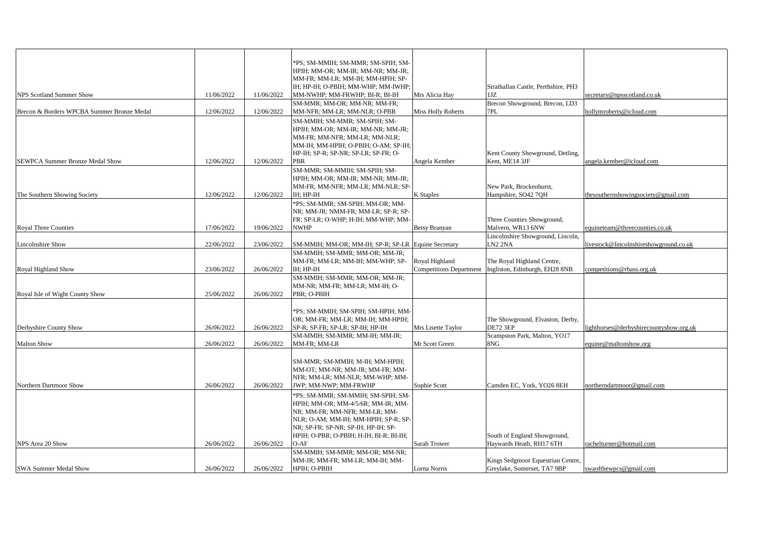|                                            |            |            | *PS; SM-MMIH; SM-MMR; SM-SPIH; SM-                                           |                                |                                     |                                         |
|--------------------------------------------|------------|------------|------------------------------------------------------------------------------|--------------------------------|-------------------------------------|-----------------------------------------|
|                                            |            |            |                                                                              |                                |                                     |                                         |
|                                            |            |            | HPIH; MM-OR; MM-IR; MM-NR; MM-JR;<br>MM-FR; MM-LR; MM-IH; MM-HPIH; SP-       |                                |                                     |                                         |
|                                            |            |            | IH; HP-IH; O-PBIH; MM-WHP; MM-IWHP;                                          |                                | Strathallan Castle, Perthshire, PH3 |                                         |
| <b>NPS Scotland Summer Show</b>            | 11/06/2022 | 11/06/2022 | MM-NWHP; MM-FRWHP; BI-R; BI-IH                                               | Mrs Alicia Hay                 | 1JZ                                 | secretary@npsscotland.co.uk             |
|                                            |            |            | SM-MMR; MM-OR; MM-NR; MM-FR;                                                 |                                | Brecon Showground, Brecon, LD3      |                                         |
| Brecon & Borders WPCBA Summer Bronze Medal | 12/06/2022 | 12/06/2022 | MM-NFR; MM-LR; MM-NLR; O-PBR                                                 | <b>Miss Holly Roberts</b>      | 7PL                                 | nollymroberts@icloud.com                |
|                                            |            |            |                                                                              |                                |                                     |                                         |
|                                            |            |            | SM-MMIH; SM-MMR; SM-SPIH; SM-                                                |                                |                                     |                                         |
|                                            |            |            | HPIH; MM-OR; MM-IR; MM-NR; MM-JR;                                            |                                |                                     |                                         |
|                                            |            |            | MM-FR; MM-NFR; MM-LR; MM-NLR;                                                |                                |                                     |                                         |
|                                            |            |            | MM-IH; MM-HPIH; O-PBIH; O-AM; SP-IH;<br>HP-IH; SP-R; SP-NR; SP-LR; SP-FR; O- |                                | Kent County Showground, Detling,    |                                         |
| SEWPCA Summer Bronze Medal Show            | 12/06/2022 | 12/06/2022 | PBR                                                                          | Angela Kember                  | Kent, ME14 3JF                      | angela.kember@icloud.com                |
|                                            |            |            |                                                                              |                                |                                     |                                         |
|                                            |            |            | SM-MMR; SM-MMIH; SM-SPIH; SM-                                                |                                |                                     |                                         |
|                                            |            |            | HPIH; MM-OR; MM-IR; MM-NR; MM-JR;                                            |                                |                                     |                                         |
|                                            |            |            | MM-FR; MM-NFR; MM-LR; MM-NLR; SP-                                            |                                | New Park, Brockenhurst,             |                                         |
| The Southern Showing Society               | 12/06/2022 | 12/06/2022 | IH; HP-IH                                                                    | <b>K</b> Staples               | Hampshire, SO42 7QH                 | thesouthernshowingsociety@gmail.com     |
|                                            |            |            | *PS; SM-MMR; SM-SPIH; MM-OR; MM-                                             |                                |                                     |                                         |
|                                            |            |            | NR: MM-JR: NMM-FR: MM-LR: SP-R: SP-                                          |                                |                                     |                                         |
|                                            |            |            | FR; SP-LR; O-WHP; H-IH; MM-WHP; MM-                                          |                                | Three Counties Showground,          |                                         |
| <b>Royal Three Counties</b>                | 17/06/2022 | 19/06/2022 | <b>NWHP</b>                                                                  | <b>Betsy Branyan</b>           | Malvern, WR13 6NW                   | equineteam@threecounties.co.uk          |
|                                            |            |            |                                                                              |                                | Lincolnshire Showground, Lincoln,   |                                         |
| Lincolnshire Show                          | 22/06/2022 | 23/06/2022 | SM-MMIH; MM-OR; MM-IH; SP-R; SP-LR Equine Secretary                          |                                | LN <sub>2</sub> 2NA                 | livestock@lincolnshireshowground.co.uk  |
|                                            |            |            | SM-MMIH; SM-MMR; MM-OR; MM-JR;                                               |                                |                                     |                                         |
|                                            |            |            | MM-FR; MM-LR; MM-IH; MM-WHP; SP-                                             | Royal Highland                 | The Royal Highland Centre,          |                                         |
| Royal Highland Show                        | 23/06/2022 | 26/06/2022 | IH; HP-IH                                                                    | <b>Competitions Department</b> | Ingliston, Edinburgh, EH28 8NB      | competitions@rhass.org.uk               |
|                                            |            |            | SM-MMIH; SM-MMR; MM-OR; MM-JR;                                               |                                |                                     |                                         |
|                                            |            |            | MM-NR; MM-FR; MM-LR; MM-IH; O-                                               |                                |                                     |                                         |
| Royal Isle of Wight County Show            | 25/06/2022 | 26/06/2022 | PBR; O-PBIH                                                                  |                                |                                     |                                         |
|                                            |            |            |                                                                              |                                |                                     |                                         |
|                                            |            |            | *PS; SM-MMIH; SM-SPIH; SM-HPIH; MM-                                          |                                |                                     |                                         |
|                                            |            |            | OR; MM-FR; MM-LR; MM-IH; MM-HPIH;                                            |                                | The Showground, Elvaston, Derby,    |                                         |
| Derbyshire County Show                     | 26/06/2022 | 26/06/2022 | SP-R; SP-FR; SP-LR; SP-IH; HP-IH                                             | Mrs Lisette Taylor             | <b>DE72 3EP</b>                     | lighthorses@derbyshirecountyshow.org.uk |
|                                            |            |            | SM-MMIH; SM-MMR; MM-IH; MM-IR;                                               | Mr Scott Green                 | Scampston Park, Malton, YO17<br>8NG |                                         |
| <b>Malton Show</b>                         | 26/06/2022 | 26/06/2022 | MM-FR; MM-LR                                                                 |                                |                                     | equine@maltonshow.org                   |
|                                            |            |            |                                                                              |                                |                                     |                                         |
|                                            |            |            | SM-MMR; SM-MMIH; M-IH; MM-HPIH;                                              |                                |                                     |                                         |
|                                            |            |            | MM-OT; MM-NR; MM-JR; MM-FR; MM-                                              |                                |                                     |                                         |
|                                            |            |            | NFR; MM-LR; MM-NLR; MM-WHP; MM-                                              |                                |                                     |                                         |
| Northern Dartmoor Show                     | 26/06/2022 | 26/06/2022 | JWP; MM-NWP; MM-FRWHP                                                        | Sophie Scott                   | Camden EC, York, YO26 8EH           | northerndartmoor@gmail.com              |
|                                            |            |            | *PS; SM-MMR; SM-MMIH; SM-SPIH; SM-                                           |                                |                                     |                                         |
|                                            |            |            | HPIH; MM-OR; MM-4/5/6R; MM-IR; MM-                                           |                                |                                     |                                         |
|                                            |            |            | NR; MM-FR; MM-NFR; MM-LR; MM-                                                |                                |                                     |                                         |
|                                            |            |            | NLR; O-AM; MM-IH; MM-HPIH; SP-R; SP-                                         |                                |                                     |                                         |
|                                            |            |            | NR; SP-FR; SP-NR; SP-IH; HP-IH; SP-                                          |                                |                                     |                                         |
|                                            |            |            | HPIH; O-PBR; O-PBIH; H-IH; BI-R; BI-IH;                                      |                                | South of England Showground,        |                                         |
| NPS Area 20 Show                           | 26/06/2022 | 26/06/2022 | $O-AF$                                                                       | Sarah Trower                   | Haywards Heath, RH17 6TH            | rachelturner@hotmail.com                |
|                                            |            |            | SM-MMIH; SM-MMR; MM-OR; MM-NR;                                               |                                |                                     |                                         |
|                                            | 26/06/2022 | 26/06/2022 | MM-JR; MM-FR; MM-LR; MM-IH; MM-                                              |                                | Kings Sedgmoor Equestrian Centre,   |                                         |
| <b>SWA Summer Medal Show</b>               |            |            | HPIH; O-PBIH                                                                 | Lorna Norris                   | Greylake, Somerset, TA7 9BP         | swaofthewpcs@gmail.com                  |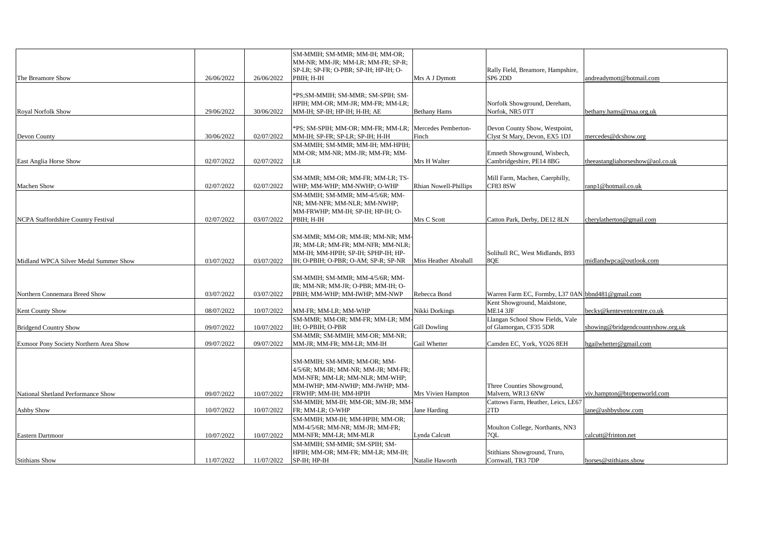|                                        |            |            | SM-MMIH; SM-MMR; MM-IH; MM-OR;<br>MM-NR; MM-JR; MM-LR; MM-FR; SP-R;                                                                                  |                       |                                                                                  |                                   |
|----------------------------------------|------------|------------|------------------------------------------------------------------------------------------------------------------------------------------------------|-----------------------|----------------------------------------------------------------------------------|-----------------------------------|
| The Breamore Show                      | 26/06/2022 | 26/06/2022 | SP-LR; SP-FR; O-PBR; SP-IH; HP-IH; O-<br>PBIH; H-IH                                                                                                  | Mrs A J Dymott        | Rally Field, Breamore, Hampshire,<br>SP <sub>6</sub> 2D <sub>D</sub>             | andreadymott@hotmail.com          |
|                                        | 29/06/2022 | 30/06/2022 | *PS;SM-MMIH; SM-MMR; SM-SPIH; SM-<br>HPIH; MM-OR; MM-JR; MM-FR; MM-LR;<br>MM-IH; SP-IH; HP-IH; H-IH; AE                                              |                       | Norfolk Showground, Dereham,<br>Norfok, NR5 0TT                                  |                                   |
| <b>Royal Norfolk Show</b>              |            |            |                                                                                                                                                      | <b>Bethany Hams</b>   |                                                                                  | bethany.hams@rnaa.org.uk          |
| Devon County                           | 30/06/2022 | 02/07/2022 | *PS; SM-SPIH; MM-OR; MM-FR; MM-LR; Mercedes Pemberton-<br>MM-IH; SP-FR; SP-LR; SP-IH; H-IH                                                           | Finch                 | Devon County Show, Westpoint,<br>Clyst St Mary, Devon, EX5 1DJ                   | mercedes@dcshow.org               |
| East Anglia Horse Show                 | 02/07/2022 | 02/07/2022 | SM-MMIH; SM-MMR; MM-IH; MM-HPIH;<br>MM-OR; MM-NR; MM-JR; MM-FR; MM-<br>LR                                                                            | Mrs H Walter          | Emneth Showground, Wisbech,<br>Cambridgeshire, PE14 8BG                          | theeastangliahorseshow@aol.co.uk  |
| Machen Show                            | 02/07/2022 | 02/07/2022 | SM-MMR; MM-OR; MM-FR; MM-LR; TS-<br>WHP; MM-WHP; MM-NWHP; O-WHP                                                                                      | Rhian Nowell-Phillips | Mill Farm, Machen, Caerphilly,<br><b>CF83 8SW</b>                                | ranp1@hotmail.co.uk               |
|                                        |            |            | SM-MMIH; SM-MMR; MM-4/5/6R; MM-<br>NR; MM-NFR; MM-NLR; MM-NWHP;<br>MM-FRWHP; MM-IH; SP-IH; HP-IH; O-                                                 |                       |                                                                                  |                                   |
| NCPA Staffordshire Country Festival    | 02/07/2022 | 03/07/2022 | PBIH; H-IH                                                                                                                                           | Mrs C Scott           | Catton Park, Derby, DE12 8LN                                                     | cherylatherton@gmail.com          |
| Midland WPCA Silver Medal Summer Show  | 03/07/2022 |            | SM-MMR; MM-OR; MM-IR; MM-NR; MM-<br>JR; MM-LR; MM-FR; MM-NFR; MM-NLR;<br>MM-IH; MM-HPIH; SP-IH; SPHP-IH; HP-<br>IH; O-PBIH; O-PBR; O-AM; SP-R; SP-NR | Miss Heather Abrahall | Solihull RC, West Midlands, B93<br>8QE                                           | midlandwpca@outlook.com           |
|                                        |            | 03/07/2022 |                                                                                                                                                      |                       |                                                                                  |                                   |
| Northern Connemara Breed Show          |            |            | SM-MMIH; SM-MMR; MM-4/5/6R; MM-<br>IR; MM-NR; MM-JR; O-PBR; MM-IH; O-                                                                                |                       |                                                                                  |                                   |
|                                        | 03/07/2022 | 03/07/2022 | PBIH; MM-WHP; MM-IWHP; MM-NWP                                                                                                                        | Rebecca Bond          | Warren Farm EC, Formby, L37 0AN bbnd481@gmail.com<br>Kent Showground, Maidstone, |                                   |
| Kent County Show                       | 08/07/2022 | 10/07/2022 | MM-FR; MM-LR; MM-WHP                                                                                                                                 | Nikki Dorkings        | <b>ME14 3JF</b>                                                                  | becky@kenteventcentre.co.uk       |
|                                        |            |            | SM-MMR; MM-OR; MM-FR; MM-LR; MM-                                                                                                                     |                       | Llangan School Show Fields, Vale                                                 |                                   |
| <b>Bridgend Country Show</b>           | 09/07/2022 | 10/07/2022 | IH; O-PBIH; O-PBR                                                                                                                                    | <b>Gill Dowling</b>   | of Glamorgan, CF35 5DR                                                           | showing@bridgendcountyshow.org.uk |
|                                        |            |            | SM-MMR; SM-MMIH; MM-OR; MM-NR;                                                                                                                       |                       |                                                                                  |                                   |
| Exmoor Pony Society Northern Area Show | 09/07/2022 | 09/07/2022 | MM-JR; MM-FR; MM-LR; MM-IH                                                                                                                           | Gail Whetter          | Camden EC, York, YO26 8EH                                                        | hgailwhetter@gmail.com            |
|                                        |            |            | SM-MMIH; SM-MMR; MM-OR; MM-<br>4/5/6R; MM-IR; MM-NR; MM-JR; MM-FR;<br>MM-NFR; MM-LR; MM-NLR; MM-WHP;<br>MM-IWHP; MM-NWHP; MM-JWHP; MM-               |                       | Three Counties Showground,                                                       |                                   |
| National Shetland Performance Show     | 09/07/2022 | 10/07/2022 | FRWHP; MM-IH; MM-HPIH                                                                                                                                | Mrs Vivien Hampton    | Malvern, WR13 6NW                                                                | viv.hampton@btopenworld.com       |
| Ashby Show                             | 10/07/2022 | 10/07/2022 | SM-MMIH; MM-IH; MM-OR; MM-JR; MM-<br>FR; MM-LR; O-WHP                                                                                                | Jane Harding          | Cattows Farm, Heather, Leics, LE67<br>2TD                                        | jane@ashbyshow.com                |
|                                        |            |            | SM-MMIH; MM-IH; MM-HPIH; MM-OR;                                                                                                                      |                       |                                                                                  |                                   |
|                                        |            |            | MM-4/5/6R; MM-NR; MM-JR; MM-FR;                                                                                                                      |                       | Moulton College, Northants, NN3                                                  |                                   |
| Eastern Dartmoor                       | 10/07/2022 | 10/07/2022 | MM-NFR; MM-LR; MM-MLR                                                                                                                                | Lynda Calcutt         | 7OL                                                                              | calcutt@frinton.net               |
|                                        |            |            | SM-MMIH; SM-MMR; SM-SPIH; SM-<br>HPIH; MM-OR; MM-FR; MM-LR; MM-IH;                                                                                   |                       | Stithians Showground, Truro,                                                     |                                   |
| <b>Stithians Show</b>                  | 11/07/2022 | 11/07/2022 | SP-IH; HP-IH                                                                                                                                         | Natalie Haworth       | Cornwall, TR3 7DP                                                                | horses@stithians.show             |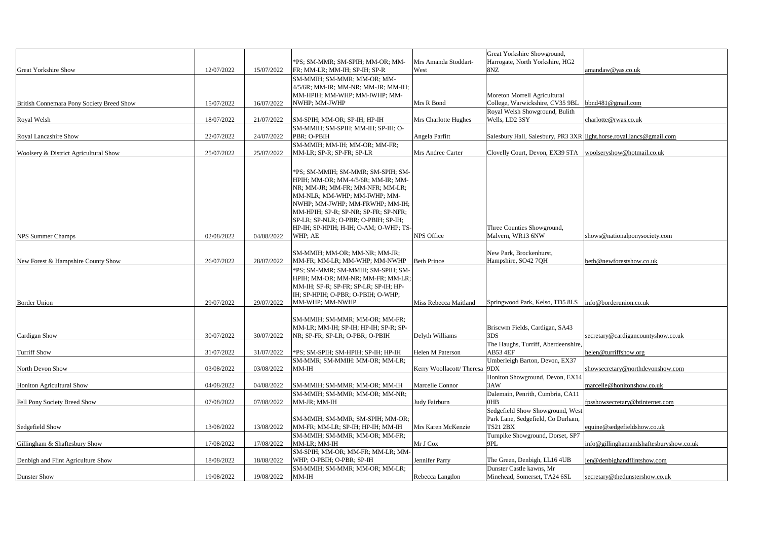|                                           |            |            |                                                                          |                              | Great Yorkshire Showground,                                          |                                         |
|-------------------------------------------|------------|------------|--------------------------------------------------------------------------|------------------------------|----------------------------------------------------------------------|-----------------------------------------|
|                                           |            |            | *PS; SM-MMR; SM-SPIH; MM-OR; MM-                                         | Mrs Amanda Stoddart-         | Harrogate, North Yorkshire, HG2                                      |                                         |
| <b>Great Yorkshire Show</b>               | 12/07/2022 | 15/07/2022 | FR; MM-LR; MM-IH; SP-IH; SP-R                                            | West                         | 8NZ                                                                  | amandaw@yas.co.uk                       |
|                                           |            |            | SM-MMIH; SM-MMR; MM-OR; MM-                                              |                              |                                                                      |                                         |
|                                           |            |            | 4/5/6R; MM-IR; MM-NR; MM-JR; MM-IH;                                      |                              |                                                                      |                                         |
|                                           |            |            | MM-HPIH; MM-WHP; MM-IWHP; MM-                                            |                              | Moreton Morrell Agricultural                                         |                                         |
| British Connemara Pony Society Breed Show | 15/07/2022 | 16/07/2022 | NWHP; MM-JWHP                                                            | Mrs R Bond                   | College, Warwickshire, CV35 9BL bbnd481@gmail.com                    |                                         |
|                                           |            |            |                                                                          |                              | Royal Welsh Showground, Bulith                                       |                                         |
| Royal Welsh                               | 18/07/2022 | 21/07/2022 | SM-SPIH; MM-OR; SP-IH; HP-IH                                             | Mrs Charlotte Hughes         | Wells, LD2 3SY                                                       | charlotte@rwas.co.uk                    |
|                                           |            |            | SM-MMIH; SM-SPIH; MM-IH; SP-IH; O-                                       |                              |                                                                      |                                         |
| Royal Lancashire Show                     | 22/07/2022 | 24/07/2022 | PBR; O-PBIH                                                              | Angela Parfitt               | Salesbury Hall, Salesbury, PR3 3XR light.horse.royal.lancs@gmail.com |                                         |
|                                           |            |            | SM-MMIH; MM-IH; MM-OR; MM-FR;                                            |                              |                                                                      |                                         |
| Woolsery & District Agricultural Show     | 25/07/2022 | 25/07/2022 | MM-LR; SP-R; SP-FR; SP-LR                                                | Mrs Andree Carter            | Clovelly Court, Devon, EX39 5TA  woolseryshow@hotmail.co.uk          |                                         |
|                                           |            |            |                                                                          |                              |                                                                      |                                         |
|                                           |            |            | *PS; SM-MMIH; SM-MMR; SM-SPIH; SM-                                       |                              |                                                                      |                                         |
|                                           |            |            | HPIH; MM-OR; MM-4/5/6R; MM-IR; MM-                                       |                              |                                                                      |                                         |
|                                           |            |            | NR; MM-JR; MM-FR; MM-NFR; MM-LR;                                         |                              |                                                                      |                                         |
|                                           |            |            | MM-NLR; MM-WHP; MM-IWHP; MM-                                             |                              |                                                                      |                                         |
|                                           |            |            | NWHP; MM-JWHP; MM-FRWHP; MM-IH;                                          |                              |                                                                      |                                         |
|                                           |            |            | MM-HPIH; SP-R; SP-NR; SP-FR; SP-NFR;                                     |                              |                                                                      |                                         |
|                                           |            |            | SP-LR; SP-NLR; O-PBR; O-PBIH; SP-IH;                                     |                              |                                                                      |                                         |
|                                           |            |            | HP-IH; SP-HPIH; H-IH; O-AM; O-WHP; TS-                                   |                              | Three Counties Showground,                                           |                                         |
| <b>NPS Summer Champs</b>                  | 02/08/2022 | 04/08/2022 | WHP; AE                                                                  | NPS Office                   | Malvern, WR13 6NW                                                    | shows@nationalponysociety.com           |
|                                           |            |            |                                                                          |                              |                                                                      |                                         |
|                                           |            |            | SM-MMIH; MM-OR; MM-NR; MM-JR;                                            |                              | New Park, Brockenhurst,                                              |                                         |
| New Forest & Hampshire County Show        | 26/07/2022 | 28/07/2022 | MM-FR; MM-LR; MM-WHP; MM-NWHP                                            | <b>Beth Prince</b>           | Hampshire, SO42 7QH                                                  | beth@newforestshow.co.uk                |
|                                           |            |            | *PS; SM-MMR; SM-MMIH; SM-SPIH; SM-                                       |                              |                                                                      |                                         |
|                                           |            |            | HPIH; MM-OR; MM-NR; MM-FR; MM-LR;                                        |                              |                                                                      |                                         |
|                                           |            |            | MM-IH; SP-R; SP-FR; SP-LR; SP-IH; HP-                                    |                              |                                                                      |                                         |
|                                           |            |            | IH; SP-HPIH; O-PBR; O-PBIH; O-WHP;                                       |                              |                                                                      |                                         |
| <b>Border Union</b>                       | 29/07/2022 | 29/07/2022 | MM-WHP; MM-NWHP                                                          | Miss Rebecca Maitland        | Springwood Park, Kelso, TD5 8LS   info@borderunion.co.uk             |                                         |
|                                           |            |            |                                                                          |                              |                                                                      |                                         |
|                                           |            |            | SM-MMIH; SM-MMR; MM-OR; MM-FR;                                           |                              |                                                                      |                                         |
| Cardigan Show                             | 30/07/2022 | 30/07/2022 | MM-LR; MM-IH; SP-IH; HP-IH; SP-R; SP-<br>NR; SP-FR; SP-LR; O-PBR; O-PBIH | Delyth Williams              | Briscwm Fields, Cardigan, SA43<br>3DS                                | secretary@cardigancountyshow.co.uk      |
|                                           |            |            |                                                                          |                              | The Haughs, Turriff, Aberdeenshire,                                  |                                         |
| <b>Turriff Show</b>                       | 31/07/2022 | 31/07/2022 | *PS; SM-SPIH; SM-HPIH; SP-IH; HP-IH                                      | Helen M Paterson             | <b>AB53 4EF</b>                                                      | helen@turriffshow.org                   |
|                                           |            |            | SM-MMR; SM-MMIH: MM-OR; MM-LR;                                           |                              | Umberleigh Barton, Devon, EX37                                       |                                         |
| North Devon Show                          | 03/08/2022 | 03/08/2022 | MM-IH                                                                    | Kerry Woollacott/Theresa 9DX |                                                                      | showsecretary@northdevonshow.com        |
|                                           |            |            |                                                                          |                              | Honiton Showground, Devon, EX14                                      |                                         |
| Honiton Agricultural Show                 | 04/08/2022 | 04/08/2022 | SM-MMIH; SM-MMR; MM-OR; MM-IH                                            | Marcelle Connor              | 3AW                                                                  | marcelle@honitonshow.co.uk              |
|                                           |            |            | SM-MMIH; SM-MMR; MM-OR; MM-NR;                                           |                              | Dalemain, Penrith, Cumbria, CA11                                     |                                         |
| Fell Pony Society Breed Show              | 07/08/2022 | 07/08/2022 | MM-JR; MM-IH                                                             | Judy Fairburn                | 0HB                                                                  | fpsshowsecretary@btinternet.com         |
|                                           |            |            |                                                                          |                              | Sedgefield Show Showground, West                                     |                                         |
|                                           |            |            | SM-MMIH; SM-MMR; SM-SPIH; MM-OR;                                         |                              | Park Lane, Sedgefield, Co Durham,                                    |                                         |
| Sedgefield Show                           | 13/08/2022 | 13/08/2022 | MM-FR; MM-LR; SP-IH; HP-IH; MM-IH                                        | Mrs Karen McKenzie           | <b>TS21 2BX</b>                                                      | equine@sedgefieldshow.co.uk             |
|                                           |            |            | SM-MMIH; SM-MMR; MM-OR; MM-FR;                                           |                              | Turnpike Showground, Dorset, SP7                                     |                                         |
| Gillingham & Shaftesbury Show             | 17/08/2022 | 17/08/2022 | MM-LR; MM-IH                                                             | Mr J Cox                     | 9PL                                                                  | info@gillinghamandshaftesburyshow.co.uk |
|                                           |            |            | SM-SPIH; MM-OR; MM-FR; MM-LR; MM-                                        |                              |                                                                      |                                         |
| Denbigh and Flint Agriculture Show        | 18/08/2022 | 18/08/2022 | WHP; O-PBIH; O-PBR; SP-IH                                                | Jennifer Parry               | The Green, Denbigh, LL16 4UB                                         | jen@denbighandflintshow.com             |
|                                           |            |            | SM-MMIH; SM-MMR; MM-OR; MM-LR;                                           |                              | Dunster Castle kawns, Mr                                             |                                         |
| <b>Dunster Show</b>                       | 19/08/2022 | 19/08/2022 | $MM-IH$                                                                  | Rebecca Langdon              | Minehead, Somerset, TA24 6SL                                         | secretary@thedunstershow.co.uk          |